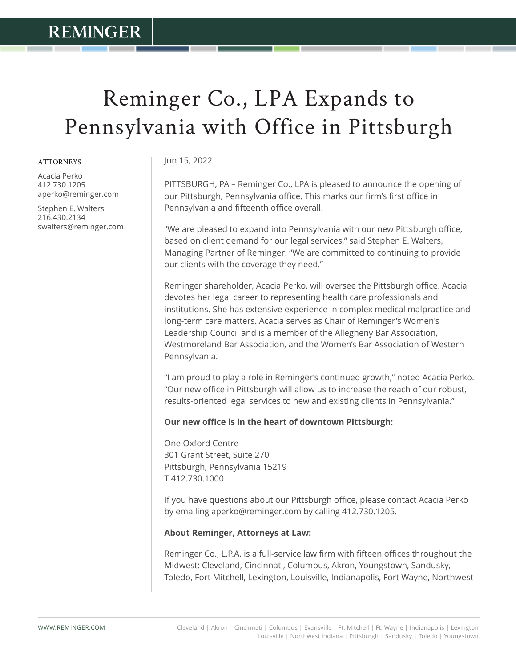# Reminger Co., LPA Expands to Pennsylvania with Office in Pittsburgh

#### ATTORNEYS

Acacia Perko 412.730.1205 aperko@reminger.com

Stephen E. Walters 216.430.2134 swalters@reminger.com

#### Jun 15, 2022

PITTSBURGH, PA – Reminger Co., LPA is pleased to announce the opening of our Pittsburgh, Pennsylvania office. This marks our firm's first office in Pennsylvania and fifteenth office overall.

"We are pleased to expand into Pennsylvania with our new Pittsburgh office, based on client demand for our legal services," said Stephen E. Walters, Managing Partner of Reminger. "We are committed to continuing to provide our clients with the coverage they need."

Reminger shareholder, Acacia Perko, will oversee the Pittsburgh office. Acacia devotes her legal career to representing health care professionals and institutions. She has extensive experience in complex medical malpractice and long-term care matters. Acacia serves as Chair of Reminger's Women's Leadership Council and is a member of the Allegheny Bar Association, Westmoreland Bar Association, and the Women's Bar Association of Western Pennsylvania.

"I am proud to play a role in Reminger's continued growth," noted Acacia Perko. "Our new office in Pittsburgh will allow us to increase the reach of our robust, results-oriented legal services to new and existing clients in Pennsylvania."

## **Our new office is in the heart of downtown Pittsburgh:**

One Oxford Centre 301 Grant Street, Suite 270 Pittsburgh, Pennsylvania 15219 T 412.730.1000

If you have questions about our Pittsburgh office, please contact Acacia Perko by emailing aperko@reminger.com by calling 412.730.1205.

### **About Reminger, Attorneys at Law:**

Reminger Co., L.P.A. is a full-service law firm with fifteen offices throughout the Midwest: Cleveland, Cincinnati, Columbus, Akron, Youngstown, Sandusky, Toledo, Fort Mitchell, Lexington, Louisville, Indianapolis, Fort Wayne, Northwest